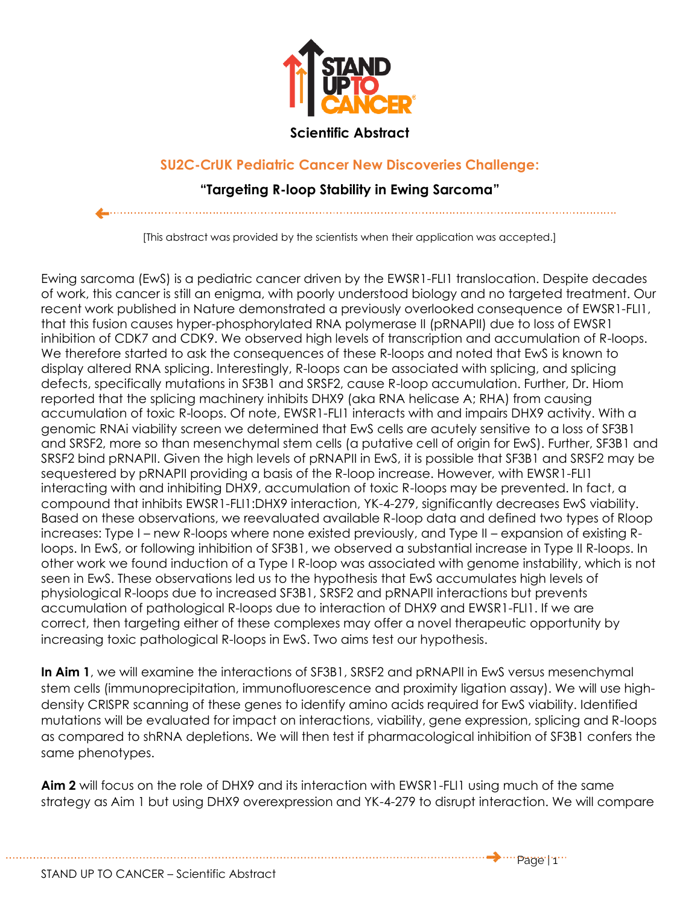

## **Scientific Abstract**

## **SU2C-CrUK Pediatric Cancer New Discoveries Challenge:**

## **"Targeting R-loop Stability in Ewing Sarcoma"**

[This abstract was provided by the scientists when their application was accepted.]

Ewing sarcoma (EwS) is a pediatric cancer driven by the EWSR1-FLI1 translocation. Despite decades of work, this cancer is still an enigma, with poorly understood biology and no targeted treatment. Our recent work published in Nature demonstrated a previously overlooked consequence of EWSR1-FLI1, that this fusion causes hyper-phosphorylated RNA polymerase II (pRNAPII) due to loss of EWSR1 inhibition of CDK7 and CDK9. We observed high levels of transcription and accumulation of R-loops. We therefore started to ask the consequences of these R-loops and noted that EwS is known to display altered RNA splicing. Interestingly, R-loops can be associated with splicing, and splicing defects, specifically mutations in SF3B1 and SRSF2, cause R-loop accumulation. Further, Dr. Hiom reported that the splicing machinery inhibits DHX9 (aka RNA helicase A; RHA) from causing accumulation of toxic R-loops. Of note, EWSR1-FLI1 interacts with and impairs DHX9 activity. With a genomic RNAi viability screen we determined that EwS cells are acutely sensitive to a loss of SF3B1 and SRSF2, more so than mesenchymal stem cells (a putative cell of origin for EwS). Further, SF3B1 and SRSF2 bind pRNAPII. Given the high levels of pRNAPII in EwS, it is possible that SF3B1 and SRSF2 may be sequestered by pRNAPII providing a basis of the R-loop increase. However, with EWSR1-FLI1 interacting with and inhibiting DHX9, accumulation of toxic R-loops may be prevented. In fact, a compound that inhibits EWSR1-FLI1:DHX9 interaction, YK-4-279, significantly decreases EwS viability. Based on these observations, we reevaluated available R-loop data and defined two types of Rloop increases: Type I – new R-loops where none existed previously, and Type II – expansion of existing Rloops. In EwS, or following inhibition of SF3B1, we observed a substantial increase in Type II R-loops. In other work we found induction of a Type I R-loop was associated with genome instability, which is not seen in EwS. These observations led us to the hypothesis that EwS accumulates high levels of physiological R-loops due to increased SF3B1, SRSF2 and pRNAPII interactions but prevents accumulation of pathological R-loops due to interaction of DHX9 and EWSR1-FLI1. If we are correct, then targeting either of these complexes may offer a novel therapeutic opportunity by increasing toxic pathological R-loops in EwS. Two aims test our hypothesis.

**In Aim 1**, we will examine the interactions of SF3B1, SRSF2 and pRNAPII in EwS versus mesenchymal stem cells (immunoprecipitation, immunofluorescence and proximity ligation assay). We will use highdensity CRISPR scanning of these genes to identify amino acids required for EwS viability. Identified mutations will be evaluated for impact on interactions, viability, gene expression, splicing and R-loops as compared to shRNA depletions. We will then test if pharmacological inhibition of SF3B1 confers the same phenotypes.

**Aim 2** will focus on the role of DHX9 and its interaction with EWSR1-FLI1 using much of the same strategy as Aim 1 but using DHX9 overexpression and YK-4-279 to disrupt interaction. We will compare

STAND UP TO CANCER – Scientific Abstract